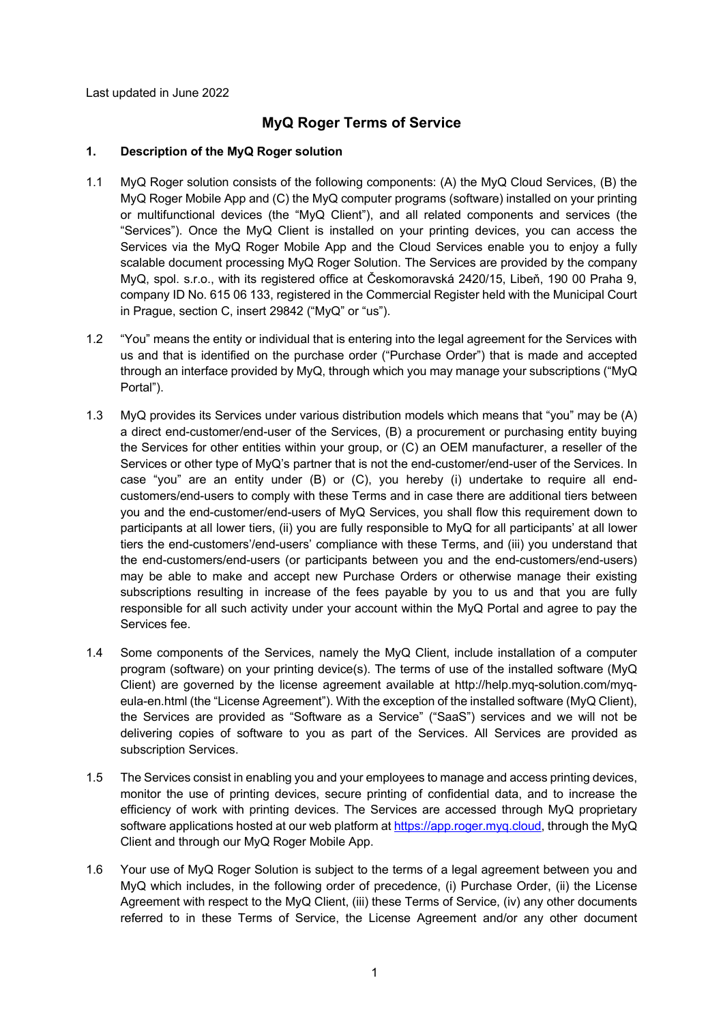Last updated in June 2022

# **MyQ Roger Terms of Service**

### **1. Description of the MyQ Roger solution**

- 1.1 MyQ Roger solution consists of the following components: (A) the MyQ Cloud Services, (B) the MyQ Roger Mobile App and (C) the MyQ computer programs (software) installed on your printing or multifunctional devices (the "MyQ Client"), and all related components and services (the "Services"). Once the MyQ Client is installed on your printing devices, you can access the Services via the MyQ Roger Mobile App and the Cloud Services enable you to enjoy a fully scalable document processing MyQ Roger Solution. The Services are provided by the company MyQ, spol. s.r.o., with its registered office at Českomoravská 2420/15, Libeň, 190 00 Praha 9, company ID No. 615 06 133, registered in the Commercial Register held with the Municipal Court in Prague, section C, insert 29842 ("MyQ" or "us").
- 1.2 "You" means the entity or individual that is entering into the legal agreement for the Services with us and that is identified on the purchase order ("Purchase Order") that is made and accepted through an interface provided by MyQ, through which you may manage your subscriptions ("MyQ Portal").
- 1.3 MyQ provides its Services under various distribution models which means that "you" may be (A) a direct end-customer/end-user of the Services, (B) a procurement or purchasing entity buying the Services for other entities within your group, or (C) an OEM manufacturer, a reseller of the Services or other type of MyQ's partner that is not the end-customer/end-user of the Services. In case "you" are an entity under (B) or (C), you hereby (i) undertake to require all endcustomers/end-users to comply with these Terms and in case there are additional tiers between you and the end-customer/end-users of MyQ Services, you shall flow this requirement down to participants at all lower tiers, (ii) you are fully responsible to MyQ for all participants' at all lower tiers the end-customers'/end-users' compliance with these Terms, and (iii) you understand that the end-customers/end-users (or participants between you and the end-customers/end-users) may be able to make and accept new Purchase Orders or otherwise manage their existing subscriptions resulting in increase of the fees payable by you to us and that you are fully responsible for all such activity under your account within the MyQ Portal and agree to pay the Services fee.
- 1.4 Some components of the Services, namely the MyQ Client, include installation of a computer program (software) on your printing device(s). The terms of use of the installed software (MyQ Client) are governed by the license agreement available at http://help.myq-solution.com/myqeula-en.html (the "License Agreement"). With the exception of the installed software (MyQ Client), the Services are provided as "Software as a Service" ("SaaS") services and we will not be delivering copies of software to you as part of the Services. All Services are provided as subscription Services.
- 1.5 The Services consist in enabling you and your employees to manage and access printing devices, monitor the use of printing devices, secure printing of confidential data, and to increase the efficiency of work with printing devices. The Services are accessed through MyQ proprietary software applications hosted at our web platform at https://app.roger.myq.cloud, through the MyQ Client and through our MyQ Roger Mobile App.
- 1.6 Your use of MyQ Roger Solution is subject to the terms of a legal agreement between you and MyQ which includes, in the following order of precedence, (i) Purchase Order, (ii) the License Agreement with respect to the MyQ Client, (iii) these Terms of Service, (iv) any other documents referred to in these Terms of Service, the License Agreement and/or any other document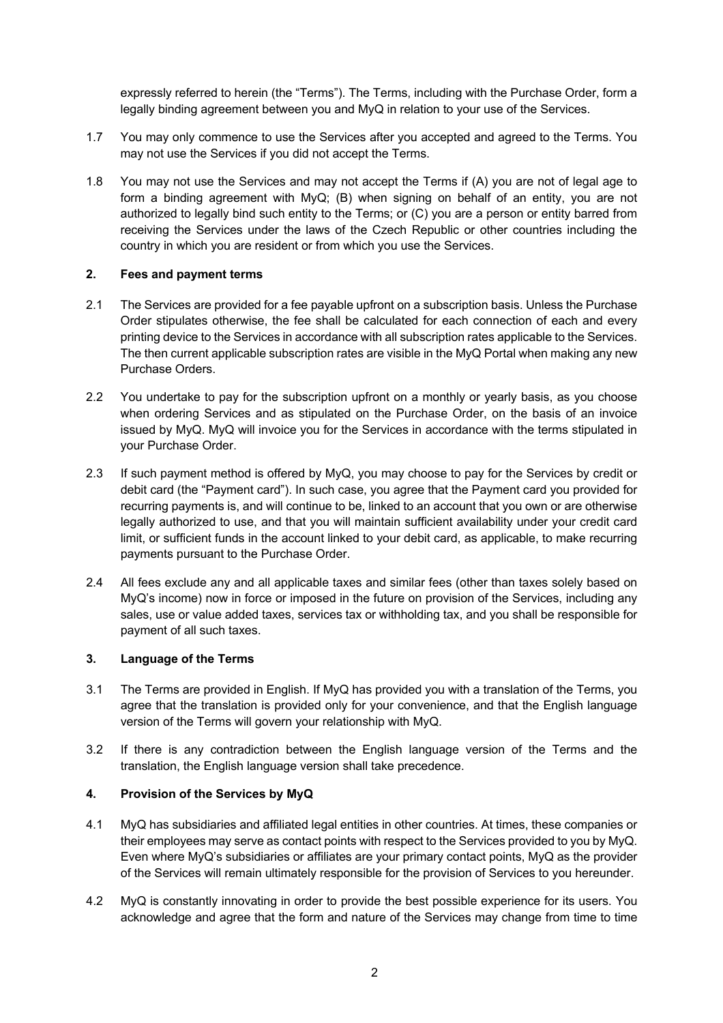expressly referred to herein (the "Terms"). The Terms, including with the Purchase Order, form a legally binding agreement between you and MyQ in relation to your use of the Services.

- 1.7 You may only commence to use the Services after you accepted and agreed to the Terms. You may not use the Services if you did not accept the Terms.
- 1.8 You may not use the Services and may not accept the Terms if (A) you are not of legal age to form a binding agreement with MyQ; (B) when signing on behalf of an entity, you are not authorized to legally bind such entity to the Terms; or (C) you are a person or entity barred from receiving the Services under the laws of the Czech Republic or other countries including the country in which you are resident or from which you use the Services.

#### **2. Fees and payment terms**

- 2.1 The Services are provided for a fee payable upfront on a subscription basis. Unless the Purchase Order stipulates otherwise, the fee shall be calculated for each connection of each and every printing device to the Services in accordance with all subscription rates applicable to the Services. The then current applicable subscription rates are visible in the MyQ Portal when making any new Purchase Orders.
- 2.2 You undertake to pay for the subscription upfront on a monthly or yearly basis, as you choose when ordering Services and as stipulated on the Purchase Order, on the basis of an invoice issued by MyQ. MyQ will invoice you for the Services in accordance with the terms stipulated in your Purchase Order.
- 2.3 If such payment method is offered by MyQ, you may choose to pay for the Services by credit or debit card (the "Payment card"). In such case, you agree that the Payment card you provided for recurring payments is, and will continue to be, linked to an account that you own or are otherwise legally authorized to use, and that you will maintain sufficient availability under your credit card limit, or sufficient funds in the account linked to your debit card, as applicable, to make recurring payments pursuant to the Purchase Order.
- 2.4 All fees exclude any and all applicable taxes and similar fees (other than taxes solely based on MyQ's income) now in force or imposed in the future on provision of the Services, including any sales, use or value added taxes, services tax or withholding tax, and you shall be responsible for payment of all such taxes.

#### **3. Language of the Terms**

- 3.1 The Terms are provided in English. If MyQ has provided you with a translation of the Terms, you agree that the translation is provided only for your convenience, and that the English language version of the Terms will govern your relationship with MyQ.
- 3.2 If there is any contradiction between the English language version of the Terms and the translation, the English language version shall take precedence.

## **4. Provision of the Services by MyQ**

- 4.1 MyQ has subsidiaries and affiliated legal entities in other countries. At times, these companies or their employees may serve as contact points with respect to the Services provided to you by MyQ. Even where MyQ's subsidiaries or affiliates are your primary contact points, MyQ as the provider of the Services will remain ultimately responsible for the provision of Services to you hereunder.
- 4.2 MyQ is constantly innovating in order to provide the best possible experience for its users. You acknowledge and agree that the form and nature of the Services may change from time to time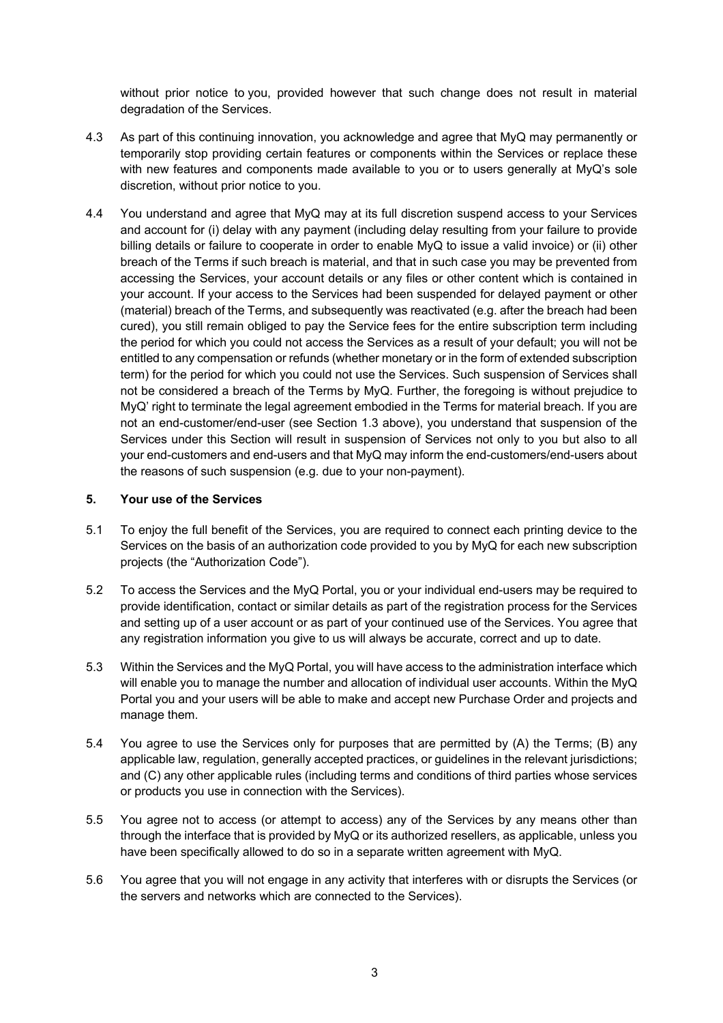without prior notice to you, provided however that such change does not result in material degradation of the Services.

- 4.3 As part of this continuing innovation, you acknowledge and agree that MyQ may permanently or temporarily stop providing certain features or components within the Services or replace these with new features and components made available to you or to users generally at MyQ's sole discretion, without prior notice to you.
- 4.4 You understand and agree that MyQ may at its full discretion suspend access to your Services and account for (i) delay with any payment (including delay resulting from your failure to provide billing details or failure to cooperate in order to enable MyQ to issue a valid invoice) or (ii) other breach of the Terms if such breach is material, and that in such case you may be prevented from accessing the Services, your account details or any files or other content which is contained in your account. If your access to the Services had been suspended for delayed payment or other (material) breach of the Terms, and subsequently was reactivated (e.g. after the breach had been cured), you still remain obliged to pay the Service fees for the entire subscription term including the period for which you could not access the Services as a result of your default; you will not be entitled to any compensation or refunds (whether monetary or in the form of extended subscription term) for the period for which you could not use the Services. Such suspension of Services shall not be considered a breach of the Terms by MyQ. Further, the foregoing is without prejudice to MyQ' right to terminate the legal agreement embodied in the Terms for material breach. If you are not an end-customer/end-user (see Section 1.3 above), you understand that suspension of the Services under this Section will result in suspension of Services not only to you but also to all your end-customers and end-users and that MyQ may inform the end-customers/end-users about the reasons of such suspension (e.g. due to your non-payment).

#### **5. Your use of the Services**

- 5.1 To enjoy the full benefit of the Services, you are required to connect each printing device to the Services on the basis of an authorization code provided to you by MyQ for each new subscription projects (the "Authorization Code").
- 5.2 To access the Services and the MyQ Portal, you or your individual end-users may be required to provide identification, contact or similar details as part of the registration process for the Services and setting up of a user account or as part of your continued use of the Services. You agree that any registration information you give to us will always be accurate, correct and up to date.
- 5.3 Within the Services and the MyQ Portal, you will have access to the administration interface which will enable you to manage the number and allocation of individual user accounts. Within the MyQ Portal you and your users will be able to make and accept new Purchase Order and projects and manage them.
- 5.4 You agree to use the Services only for purposes that are permitted by (A) the Terms; (B) any applicable law, regulation, generally accepted practices, or guidelines in the relevant jurisdictions; and (C) any other applicable rules (including terms and conditions of third parties whose services or products you use in connection with the Services).
- 5.5 You agree not to access (or attempt to access) any of the Services by any means other than through the interface that is provided by MyQ or its authorized resellers, as applicable, unless you have been specifically allowed to do so in a separate written agreement with MyQ.
- 5.6 You agree that you will not engage in any activity that interferes with or disrupts the Services (or the servers and networks which are connected to the Services).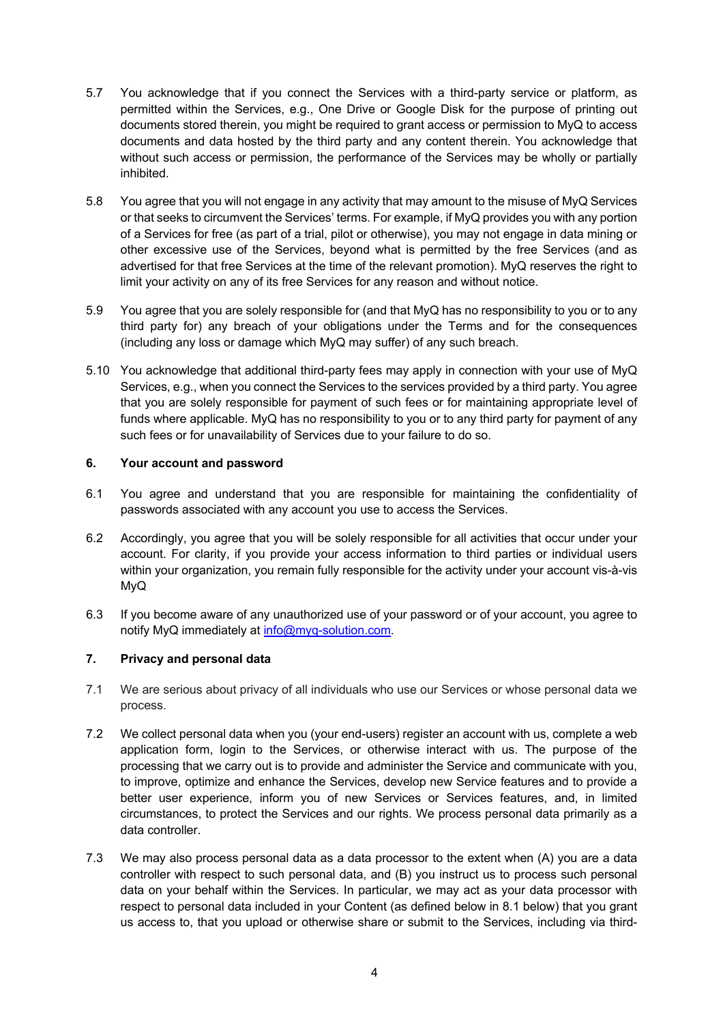- 5.7 You acknowledge that if you connect the Services with a third-party service or platform, as permitted within the Services, e.g., One Drive or Google Disk for the purpose of printing out documents stored therein, you might be required to grant access or permission to MyQ to access documents and data hosted by the third party and any content therein. You acknowledge that without such access or permission, the performance of the Services may be wholly or partially inhibited.
- 5.8 You agree that you will not engage in any activity that may amount to the misuse of MyQ Services or that seeks to circumvent the Services' terms. For example, if MyQ provides you with any portion of a Services for free (as part of a trial, pilot or otherwise), you may not engage in data mining or other excessive use of the Services, beyond what is permitted by the free Services (and as advertised for that free Services at the time of the relevant promotion). MyQ reserves the right to limit your activity on any of its free Services for any reason and without notice.
- 5.9 You agree that you are solely responsible for (and that MyQ has no responsibility to you or to any third party for) any breach of your obligations under the Terms and for the consequences (including any loss or damage which MyQ may suffer) of any such breach.
- 5.10 You acknowledge that additional third-party fees may apply in connection with your use of MyQ Services, e.g., when you connect the Services to the services provided by a third party. You agree that you are solely responsible for payment of such fees or for maintaining appropriate level of funds where applicable. MyQ has no responsibility to you or to any third party for payment of any such fees or for unavailability of Services due to your failure to do so.

## **6. Your account and password**

- 6.1 You agree and understand that you are responsible for maintaining the confidentiality of passwords associated with any account you use to access the Services.
- 6.2 Accordingly, you agree that you will be solely responsible for all activities that occur under your account. For clarity, if you provide your access information to third parties or individual users within your organization, you remain fully responsible for the activity under your account vis-à-vis MyQ
- 6.3 If you become aware of any unauthorized use of your password or of your account, you agree to notify MyQ immediately at info@myq-solution.com.

#### **7. Privacy and personal data**

- 7.1 We are serious about privacy of all individuals who use our Services or whose personal data we process.
- 7.2 We collect personal data when you (your end-users) register an account with us, complete a web application form, login to the Services, or otherwise interact with us. The purpose of the processing that we carry out is to provide and administer the Service and communicate with you, to improve, optimize and enhance the Services, develop new Service features and to provide a better user experience, inform you of new Services or Services features, and, in limited circumstances, to protect the Services and our rights. We process personal data primarily as a data controller.
- 7.3 We may also process personal data as a data processor to the extent when (A) you are a data controller with respect to such personal data, and (B) you instruct us to process such personal data on your behalf within the Services. In particular, we may act as your data processor with respect to personal data included in your Content (as defined below in 8.1 below) that you grant us access to, that you upload or otherwise share or submit to the Services, including via third-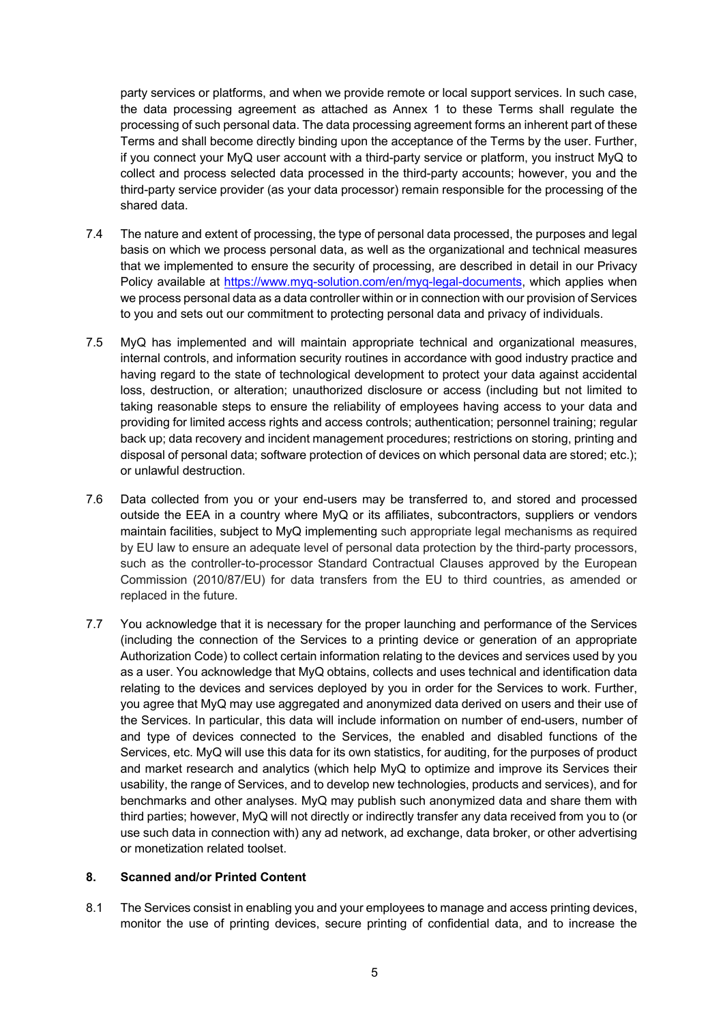party services or platforms, and when we provide remote or local support services. In such case, the data processing agreement as attached as Annex 1 to these Terms shall regulate the processing of such personal data. The data processing agreement forms an inherent part of these Terms and shall become directly binding upon the acceptance of the Terms by the user. Further, if you connect your MyQ user account with a third-party service or platform, you instruct MyQ to collect and process selected data processed in the third-party accounts; however, you and the third-party service provider (as your data processor) remain responsible for the processing of the shared data.

- 7.4 The nature and extent of processing, the type of personal data processed, the purposes and legal basis on which we process personal data, as well as the organizational and technical measures that we implemented to ensure the security of processing, are described in detail in our Privacy Policy available at https://www.myq-solution.com/en/myq-legal-documents, which applies when we process personal data as a data controller within or in connection with our provision of Services to you and sets out our commitment to protecting personal data and privacy of individuals.
- 7.5 MyQ has implemented and will maintain appropriate technical and organizational measures, internal controls, and information security routines in accordance with good industry practice and having regard to the state of technological development to protect your data against accidental loss, destruction, or alteration; unauthorized disclosure or access (including but not limited to taking reasonable steps to ensure the reliability of employees having access to your data and providing for limited access rights and access controls; authentication; personnel training; regular back up; data recovery and incident management procedures; restrictions on storing, printing and disposal of personal data; software protection of devices on which personal data are stored; etc.); or unlawful destruction.
- 7.6 Data collected from you or your end-users may be transferred to, and stored and processed outside the EEA in a country where MyQ or its affiliates, subcontractors, suppliers or vendors maintain facilities, subject to MyQ implementing such appropriate legal mechanisms as required by EU law to ensure an adequate level of personal data protection by the third-party processors, such as the controller-to-processor Standard Contractual Clauses approved by the European Commission (2010/87/EU) for data transfers from the EU to third countries, as amended or replaced in the future.
- 7.7 You acknowledge that it is necessary for the proper launching and performance of the Services (including the connection of the Services to a printing device or generation of an appropriate Authorization Code) to collect certain information relating to the devices and services used by you as a user. You acknowledge that MyQ obtains, collects and uses technical and identification data relating to the devices and services deployed by you in order for the Services to work. Further, you agree that MyQ may use aggregated and anonymized data derived on users and their use of the Services. In particular, this data will include information on number of end-users, number of and type of devices connected to the Services, the enabled and disabled functions of the Services, etc. MyQ will use this data for its own statistics, for auditing, for the purposes of product and market research and analytics (which help MyQ to optimize and improve its Services their usability, the range of Services, and to develop new technologies, products and services), and for benchmarks and other analyses. MyQ may publish such anonymized data and share them with third parties; however, MyQ will not directly or indirectly transfer any data received from you to (or use such data in connection with) any ad network, ad exchange, data broker, or other advertising or monetization related toolset.

#### **8. Scanned and/or Printed Content**

8.1 The Services consist in enabling you and your employees to manage and access printing devices, monitor the use of printing devices, secure printing of confidential data, and to increase the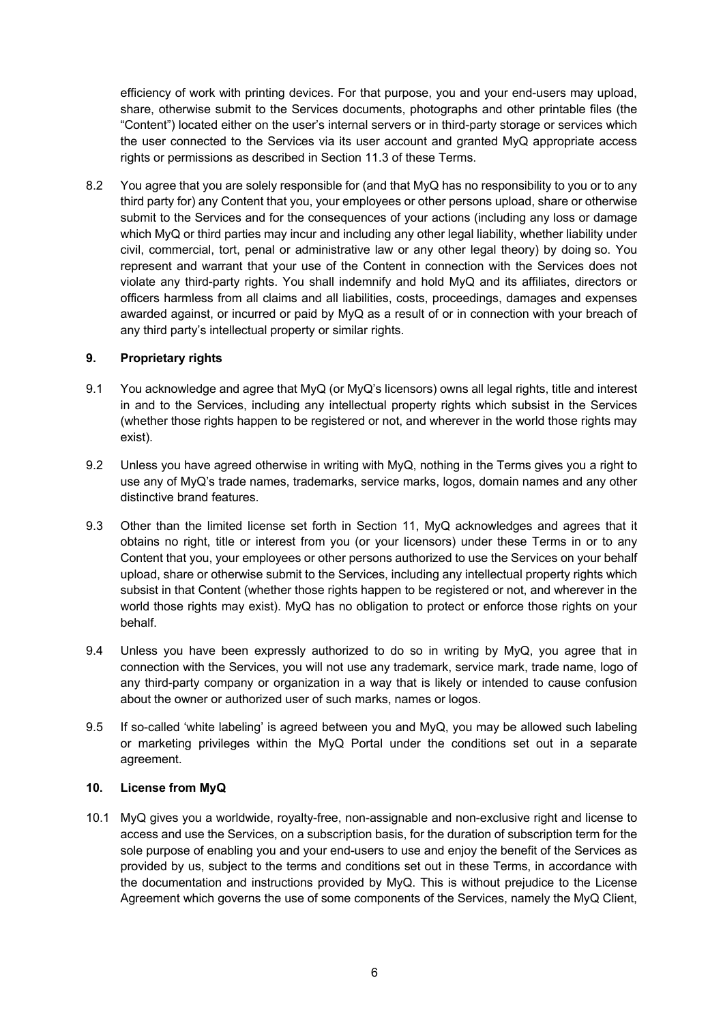efficiency of work with printing devices. For that purpose, you and your end-users may upload, share, otherwise submit to the Services documents, photographs and other printable files (the "Content") located either on the user's internal servers or in third-party storage or services which the user connected to the Services via its user account and granted MyQ appropriate access rights or permissions as described in Section 11.3 of these Terms.

8.2 You agree that you are solely responsible for (and that MyQ has no responsibility to you or to any third party for) any Content that you, your employees or other persons upload, share or otherwise submit to the Services and for the consequences of your actions (including any loss or damage which MyQ or third parties may incur and including any other legal liability, whether liability under civil, commercial, tort, penal or administrative law or any other legal theory) by doing so. You represent and warrant that your use of the Content in connection with the Services does not violate any third-party rights. You shall indemnify and hold MyQ and its affiliates, directors or officers harmless from all claims and all liabilities, costs, proceedings, damages and expenses awarded against, or incurred or paid by MyQ as a result of or in connection with your breach of any third party's intellectual property or similar rights.

## **9. Proprietary rights**

- 9.1 You acknowledge and agree that MyQ (or MyQ's licensors) owns all legal rights, title and interest in and to the Services, including any intellectual property rights which subsist in the Services (whether those rights happen to be registered or not, and wherever in the world those rights may exist).
- 9.2 Unless you have agreed otherwise in writing with MyQ, nothing in the Terms gives you a right to use any of MyQ's trade names, trademarks, service marks, logos, domain names and any other distinctive brand features.
- 9.3 Other than the limited license set forth in Section 11, MyQ acknowledges and agrees that it obtains no right, title or interest from you (or your licensors) under these Terms in or to any Content that you, your employees or other persons authorized to use the Services on your behalf upload, share or otherwise submit to the Services, including any intellectual property rights which subsist in that Content (whether those rights happen to be registered or not, and wherever in the world those rights may exist). MyQ has no obligation to protect or enforce those rights on your behalf.
- 9.4 Unless you have been expressly authorized to do so in writing by MyQ, you agree that in connection with the Services, you will not use any trademark, service mark, trade name, logo of any third-party company or organization in a way that is likely or intended to cause confusion about the owner or authorized user of such marks, names or logos.
- 9.5 If so-called 'white labeling' is agreed between you and MyQ, you may be allowed such labeling or marketing privileges within the MyQ Portal under the conditions set out in a separate agreement.

#### **10. License from MyQ**

10.1 MyQ gives you a worldwide, royalty-free, non-assignable and non-exclusive right and license to access and use the Services, on a subscription basis, for the duration of subscription term for the sole purpose of enabling you and your end-users to use and enjoy the benefit of the Services as provided by us, subject to the terms and conditions set out in these Terms, in accordance with the documentation and instructions provided by MyQ. This is without prejudice to the License Agreement which governs the use of some components of the Services, namely the MyQ Client,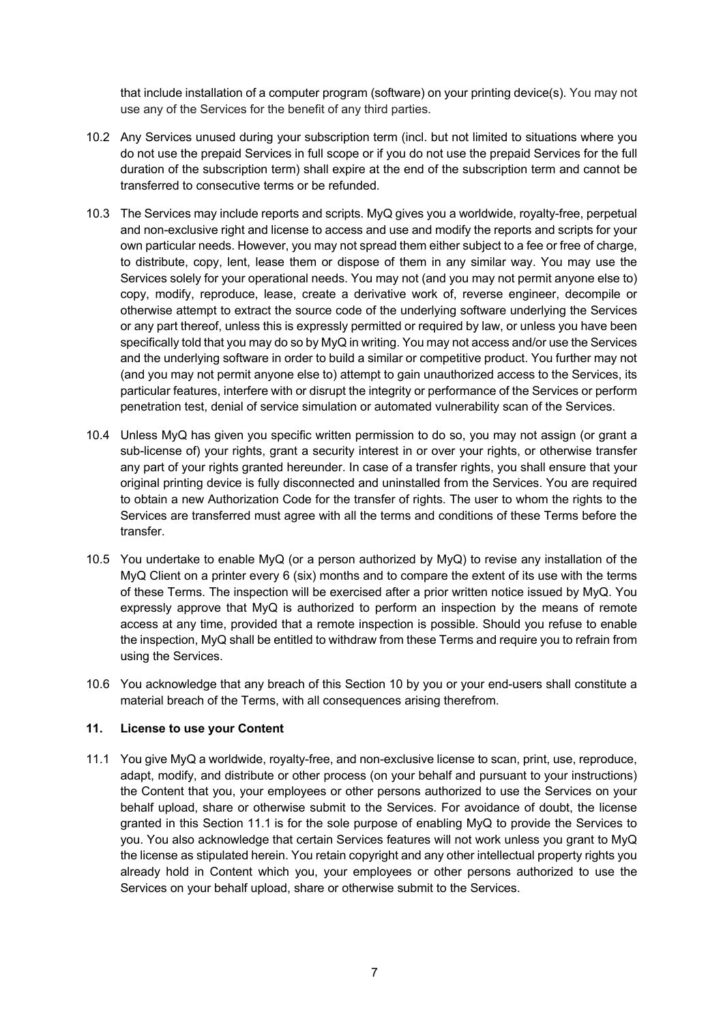that include installation of a computer program (software) on your printing device(s). You may not use any of the Services for the benefit of any third parties.

- 10.2 Any Services unused during your subscription term (incl. but not limited to situations where you do not use the prepaid Services in full scope or if you do not use the prepaid Services for the full duration of the subscription term) shall expire at the end of the subscription term and cannot be transferred to consecutive terms or be refunded.
- 10.3 The Services may include reports and scripts. MyQ gives you a worldwide, royalty-free, perpetual and non-exclusive right and license to access and use and modify the reports and scripts for your own particular needs. However, you may not spread them either subject to a fee or free of charge, to distribute, copy, lent, lease them or dispose of them in any similar way. You may use the Services solely for your operational needs. You may not (and you may not permit anyone else to) copy, modify, reproduce, lease, create a derivative work of, reverse engineer, decompile or otherwise attempt to extract the source code of the underlying software underlying the Services or any part thereof, unless this is expressly permitted or required by law, or unless you have been specifically told that you may do so by MyQ in writing. You may not access and/or use the Services and the underlying software in order to build a similar or competitive product. You further may not (and you may not permit anyone else to) attempt to gain unauthorized access to the Services, its particular features, interfere with or disrupt the integrity or performance of the Services or perform penetration test, denial of service simulation or automated vulnerability scan of the Services.
- 10.4 Unless MyQ has given you specific written permission to do so, you may not assign (or grant a sub-license of) your rights, grant a security interest in or over your rights, or otherwise transfer any part of your rights granted hereunder. In case of a transfer rights, you shall ensure that your original printing device is fully disconnected and uninstalled from the Services. You are required to obtain a new Authorization Code for the transfer of rights. The user to whom the rights to the Services are transferred must agree with all the terms and conditions of these Terms before the transfer.
- 10.5 You undertake to enable MyQ (or a person authorized by MyQ) to revise any installation of the MyQ Client on a printer every 6 (six) months and to compare the extent of its use with the terms of these Terms. The inspection will be exercised after a prior written notice issued by MyQ. You expressly approve that MyQ is authorized to perform an inspection by the means of remote access at any time, provided that a remote inspection is possible. Should you refuse to enable the inspection, MyQ shall be entitled to withdraw from these Terms and require you to refrain from using the Services.
- 10.6 You acknowledge that any breach of this Section 10 by you or your end-users shall constitute a material breach of the Terms, with all consequences arising therefrom.

#### **11. License to use your Content**

11.1 You give MyQ a worldwide, royalty-free, and non-exclusive license to scan, print, use, reproduce, adapt, modify, and distribute or other process (on your behalf and pursuant to your instructions) the Content that you, your employees or other persons authorized to use the Services on your behalf upload, share or otherwise submit to the Services. For avoidance of doubt, the license granted in this Section 11.1 is for the sole purpose of enabling MyQ to provide the Services to you. You also acknowledge that certain Services features will not work unless you grant to MyQ the license as stipulated herein. You retain copyright and any other intellectual property rights you already hold in Content which you, your employees or other persons authorized to use the Services on your behalf upload, share or otherwise submit to the Services.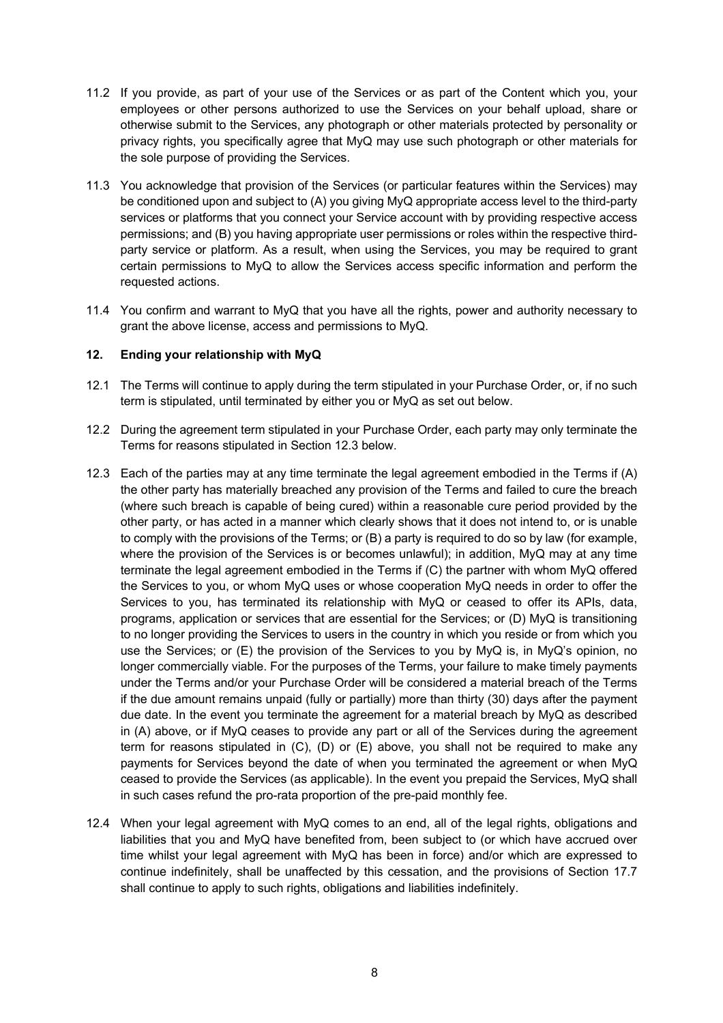- 11.2 If you provide, as part of your use of the Services or as part of the Content which you, your employees or other persons authorized to use the Services on your behalf upload, share or otherwise submit to the Services, any photograph or other materials protected by personality or privacy rights, you specifically agree that MyQ may use such photograph or other materials for the sole purpose of providing the Services.
- 11.3 You acknowledge that provision of the Services (or particular features within the Services) may be conditioned upon and subject to (A) you giving MyQ appropriate access level to the third-party services or platforms that you connect your Service account with by providing respective access permissions; and (B) you having appropriate user permissions or roles within the respective thirdparty service or platform. As a result, when using the Services, you may be required to grant certain permissions to MyQ to allow the Services access specific information and perform the requested actions.
- 11.4 You confirm and warrant to MyQ that you have all the rights, power and authority necessary to grant the above license, access and permissions to MyQ.

#### **12. Ending your relationship with MyQ**

- 12.1 The Terms will continue to apply during the term stipulated in your Purchase Order, or, if no such term is stipulated, until terminated by either you or MyQ as set out below.
- 12.2 During the agreement term stipulated in your Purchase Order, each party may only terminate the Terms for reasons stipulated in Section 12.3 below.
- 12.3 Each of the parties may at any time terminate the legal agreement embodied in the Terms if (A) the other party has materially breached any provision of the Terms and failed to cure the breach (where such breach is capable of being cured) within a reasonable cure period provided by the other party, or has acted in a manner which clearly shows that it does not intend to, or is unable to comply with the provisions of the Terms; or (B) a party is required to do so by law (for example, where the provision of the Services is or becomes unlawful); in addition, MyQ may at any time terminate the legal agreement embodied in the Terms if (C) the partner with whom MyQ offered the Services to you, or whom MyQ uses or whose cooperation MyQ needs in order to offer the Services to you, has terminated its relationship with MyQ or ceased to offer its APIs, data, programs, application or services that are essential for the Services; or (D) MyQ is transitioning to no longer providing the Services to users in the country in which you reside or from which you use the Services; or (E) the provision of the Services to you by MyQ is, in MyQ's opinion, no longer commercially viable. For the purposes of the Terms, your failure to make timely payments under the Terms and/or your Purchase Order will be considered a material breach of the Terms if the due amount remains unpaid (fully or partially) more than thirty (30) days after the payment due date. In the event you terminate the agreement for a material breach by MyQ as described in (A) above, or if MyQ ceases to provide any part or all of the Services during the agreement term for reasons stipulated in  $(C)$ ,  $(D)$  or  $(E)$  above, you shall not be required to make any payments for Services beyond the date of when you terminated the agreement or when MyQ ceased to provide the Services (as applicable). In the event you prepaid the Services, MyQ shall in such cases refund the pro-rata proportion of the pre-paid monthly fee.
- 12.4 When your legal agreement with MyQ comes to an end, all of the legal rights, obligations and liabilities that you and MyQ have benefited from, been subject to (or which have accrued over time whilst your legal agreement with MyQ has been in force) and/or which are expressed to continue indefinitely, shall be unaffected by this cessation, and the provisions of Section 17.7 shall continue to apply to such rights, obligations and liabilities indefinitely.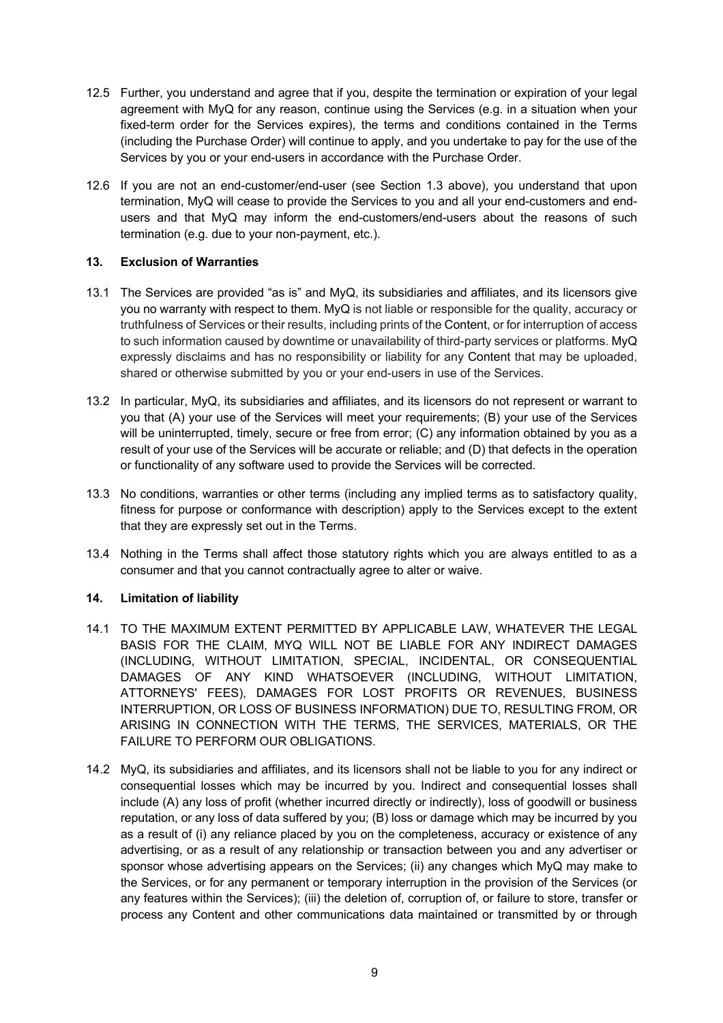- 12.5 Further, you understand and agree that if you, despite the termination or expiration of your legal agreement with MyQ for any reason, continue using the Services (e.g. in a situation when your fixed-term order for the Services expires), the terms and conditions contained in the Terms (including the Purchase Order) will continue to apply, and you undertake to pay for the use of the Services by you or your end-users in accordance with the Purchase Order.
- 12.6 If you are not an end-customer/end-user (see Section 1.3 above), you understand that upon termination, MyQ will cease to provide the Services to you and all your end-customers and endusers and that MyQ may inform the end-customers/end-users about the reasons of such termination (e.g. due to your non-payment, etc.).

## **13. Exclusion of Warranties**

- 13.1 The Services are provided "as is" and MyQ, its subsidiaries and affiliates, and its licensors give you no warranty with respect to them. MyQ is not liable or responsible for the quality, accuracy or truthfulness of Services or their results, including prints of the Content, or for interruption of access to such information caused by downtime or unavailability of third-party services or platforms. MyQ expressly disclaims and has no responsibility or liability for any Content that may be uploaded, shared or otherwise submitted by you or your end-users in use of the Services.
- 13.2 In particular, MyQ, its subsidiaries and affiliates, and its licensors do not represent or warrant to you that (A) your use of the Services will meet your requirements; (B) your use of the Services will be uninterrupted, timely, secure or free from error; (C) any information obtained by you as a result of your use of the Services will be accurate or reliable; and (D) that defects in the operation or functionality of any software used to provide the Services will be corrected.
- 13.3 No conditions, warranties or other terms (including any implied terms as to satisfactory quality, fitness for purpose or conformance with description) apply to the Services except to the extent that they are expressly set out in the Terms.
- 13.4 Nothing in the Terms shall affect those statutory rights which you are always entitled to as a consumer and that you cannot contractually agree to alter or waive.

#### **14. Limitation of liability**

- 14.1 TO THE MAXIMUM EXTENT PERMITTED BY APPLICABLE LAW, WHATEVER THE LEGAL BASIS FOR THE CLAIM, MYQ WILL NOT BE LIABLE FOR ANY INDIRECT DAMAGES (INCLUDING, WITHOUT LIMITATION, SPECIAL, INCIDENTAL, OR CONSEQUENTIAL DAMAGES OF ANY KIND WHATSOEVER (INCLUDING, WITHOUT LIMITATION, ATTORNEYS' FEES), DAMAGES FOR LOST PROFITS OR REVENUES, BUSINESS INTERRUPTION, OR LOSS OF BUSINESS INFORMATION) DUE TO, RESULTING FROM, OR ARISING IN CONNECTION WITH THE TERMS, THE SERVICES, MATERIALS, OR THE FAILURE TO PERFORM OUR OBLIGATIONS.
- 14.2 MyQ, its subsidiaries and affiliates, and its licensors shall not be liable to you for any indirect or consequential losses which may be incurred by you. Indirect and consequential losses shall include (A) any loss of profit (whether incurred directly or indirectly), loss of goodwill or business reputation, or any loss of data suffered by you; (B) loss or damage which may be incurred by you as a result of (i) any reliance placed by you on the completeness, accuracy or existence of any advertising, or as a result of any relationship or transaction between you and any advertiser or sponsor whose advertising appears on the Services; (ii) any changes which MyQ may make to the Services, or for any permanent or temporary interruption in the provision of the Services (or any features within the Services); (iii) the deletion of, corruption of, or failure to store, transfer or process any Content and other communications data maintained or transmitted by or through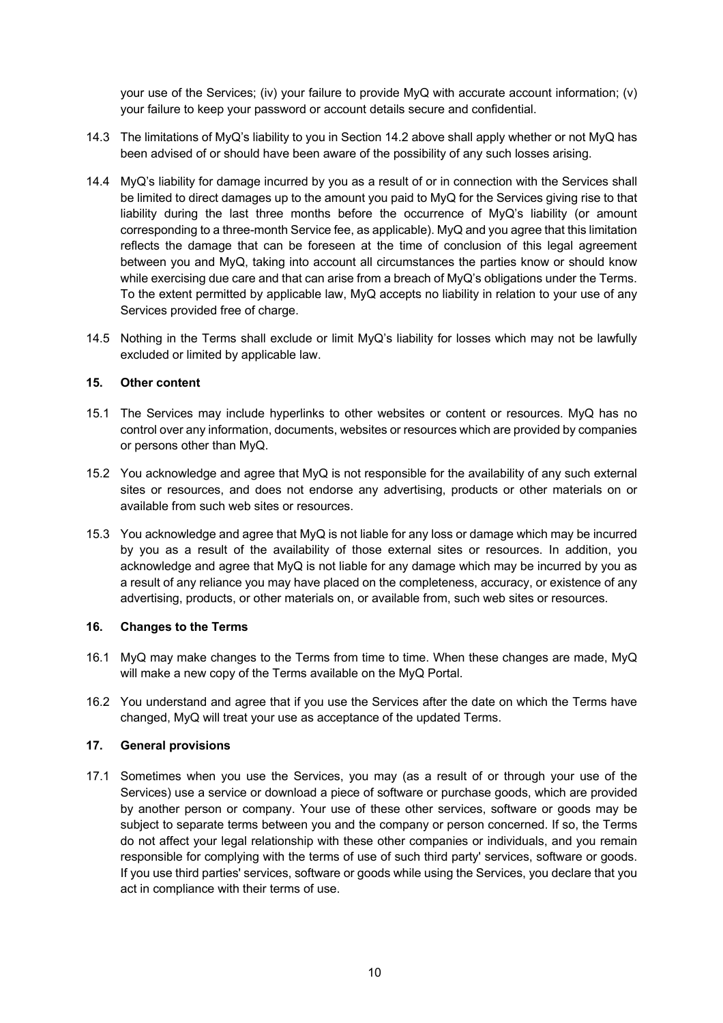your use of the Services; (iv) your failure to provide MyQ with accurate account information; (v) your failure to keep your password or account details secure and confidential.

- 14.3 The limitations of MyQ's liability to you in Section 14.2 above shall apply whether or not MyQ has been advised of or should have been aware of the possibility of any such losses arising.
- 14.4 MyQ's liability for damage incurred by you as a result of or in connection with the Services shall be limited to direct damages up to the amount you paid to MyQ for the Services giving rise to that liability during the last three months before the occurrence of MyQ's liability (or amount corresponding to a three-month Service fee, as applicable). MyQ and you agree that this limitation reflects the damage that can be foreseen at the time of conclusion of this legal agreement between you and MyQ, taking into account all circumstances the parties know or should know while exercising due care and that can arise from a breach of MyQ's obligations under the Terms. To the extent permitted by applicable law, MyQ accepts no liability in relation to your use of any Services provided free of charge.
- 14.5 Nothing in the Terms shall exclude or limit MyQ's liability for losses which may not be lawfully excluded or limited by applicable law.

## **15. Other content**

- 15.1 The Services may include hyperlinks to other websites or content or resources. MyQ has no control over any information, documents, websites or resources which are provided by companies or persons other than MyQ.
- 15.2 You acknowledge and agree that MyQ is not responsible for the availability of any such external sites or resources, and does not endorse any advertising, products or other materials on or available from such web sites or resources.
- 15.3 You acknowledge and agree that MyQ is not liable for any loss or damage which may be incurred by you as a result of the availability of those external sites or resources. In addition, you acknowledge and agree that MyQ is not liable for any damage which may be incurred by you as a result of any reliance you may have placed on the completeness, accuracy, or existence of any advertising, products, or other materials on, or available from, such web sites or resources.

#### **16. Changes to the Terms**

- 16.1 MyQ may make changes to the Terms from time to time. When these changes are made, MyQ will make a new copy of the Terms available on the MyQ Portal.
- 16.2 You understand and agree that if you use the Services after the date on which the Terms have changed, MyQ will treat your use as acceptance of the updated Terms.

#### **17. General provisions**

17.1 Sometimes when you use the Services, you may (as a result of or through your use of the Services) use a service or download a piece of software or purchase goods, which are provided by another person or company. Your use of these other services, software or goods may be subject to separate terms between you and the company or person concerned. If so, the Terms do not affect your legal relationship with these other companies or individuals, and you remain responsible for complying with the terms of use of such third party' services, software or goods. If you use third parties' services, software or goods while using the Services, you declare that you act in compliance with their terms of use.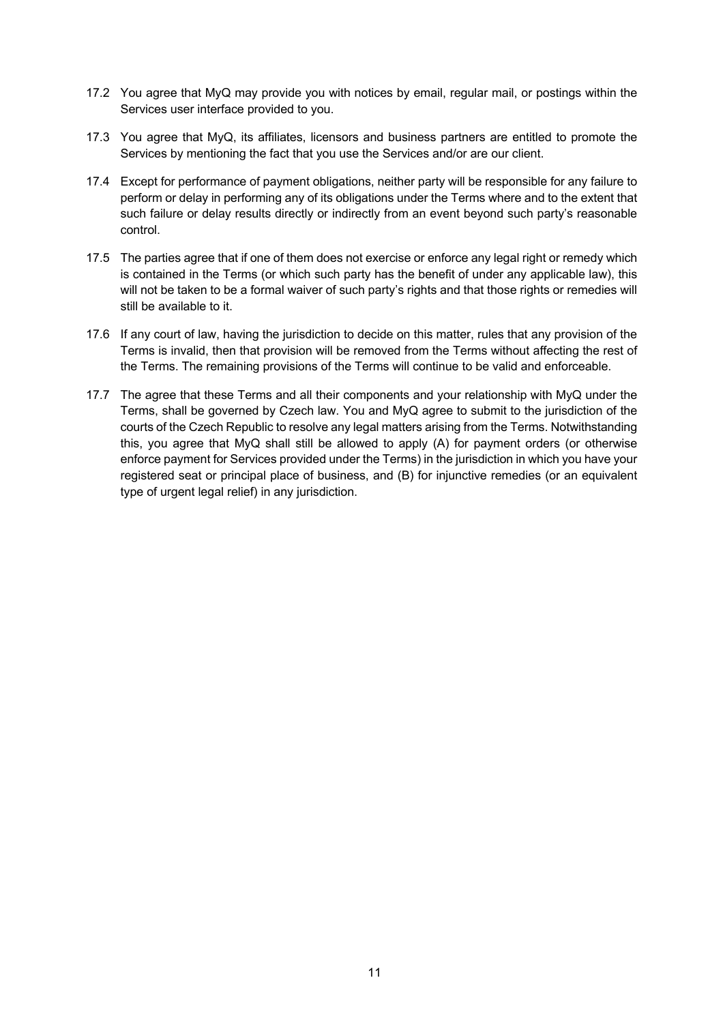- 17.2 You agree that MyQ may provide you with notices by email, regular mail, or postings within the Services user interface provided to you.
- 17.3 You agree that MyQ, its affiliates, licensors and business partners are entitled to promote the Services by mentioning the fact that you use the Services and/or are our client.
- 17.4 Except for performance of payment obligations, neither party will be responsible for any failure to perform or delay in performing any of its obligations under the Terms where and to the extent that such failure or delay results directly or indirectly from an event beyond such party's reasonable control.
- 17.5 The parties agree that if one of them does not exercise or enforce any legal right or remedy which is contained in the Terms (or which such party has the benefit of under any applicable law), this will not be taken to be a formal waiver of such party's rights and that those rights or remedies will still be available to it.
- 17.6 If any court of law, having the jurisdiction to decide on this matter, rules that any provision of the Terms is invalid, then that provision will be removed from the Terms without affecting the rest of the Terms. The remaining provisions of the Terms will continue to be valid and enforceable.
- 17.7 The agree that these Terms and all their components and your relationship with MyQ under the Terms, shall be governed by Czech law. You and MyQ agree to submit to the jurisdiction of the courts of the Czech Republic to resolve any legal matters arising from the Terms. Notwithstanding this, you agree that MyQ shall still be allowed to apply (A) for payment orders (or otherwise enforce payment for Services provided under the Terms) in the jurisdiction in which you have your registered seat or principal place of business, and (B) for injunctive remedies (or an equivalent type of urgent legal relief) in any jurisdiction.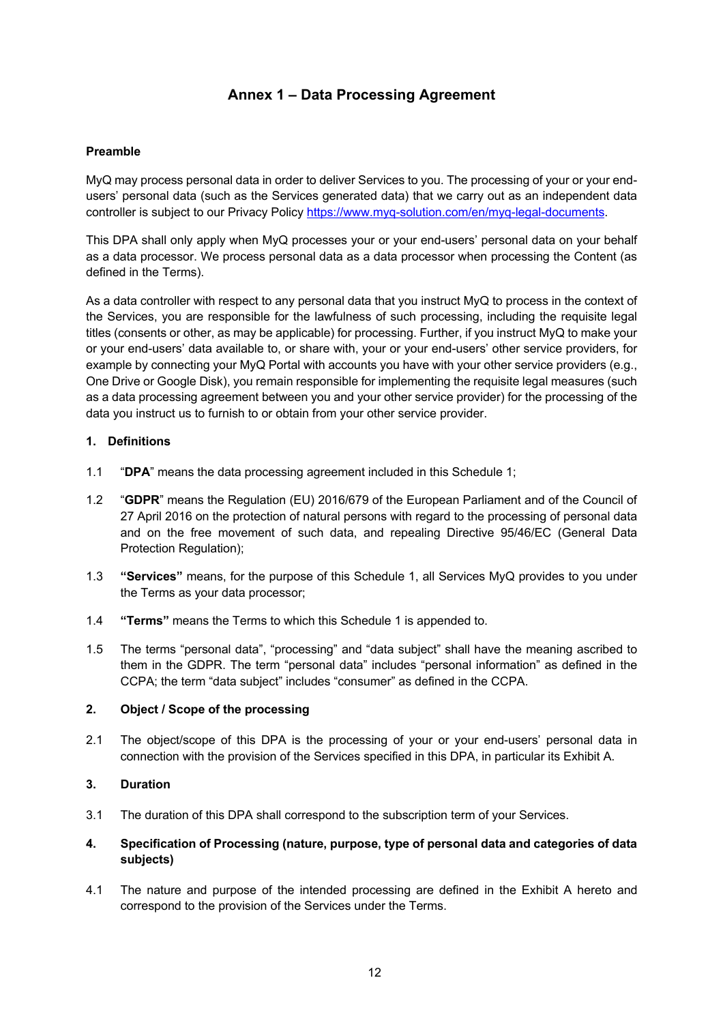# **Annex 1 – Data Processing Agreement**

## **Preamble**

MyQ may process personal data in order to deliver Services to you. The processing of your or your endusers' personal data (such as the Services generated data) that we carry out as an independent data controller is subject to our Privacy Policy https://www.myq-solution.com/en/myq-legal-documents.

This DPA shall only apply when MyQ processes your or your end-users' personal data on your behalf as a data processor. We process personal data as a data processor when processing the Content (as defined in the Terms).

As a data controller with respect to any personal data that you instruct MyQ to process in the context of the Services, you are responsible for the lawfulness of such processing, including the requisite legal titles (consents or other, as may be applicable) for processing. Further, if you instruct MyQ to make your or your end-users' data available to, or share with, your or your end-users' other service providers, for example by connecting your MyQ Portal with accounts you have with your other service providers (e.g., One Drive or Google Disk), you remain responsible for implementing the requisite legal measures (such as a data processing agreement between you and your other service provider) for the processing of the data you instruct us to furnish to or obtain from your other service provider.

## **1. Definitions**

- 1.1 "**DPA**" means the data processing agreement included in this Schedule 1;
- 1.2 "**GDPR**" means the Regulation (EU) 2016/679 of the European Parliament and of the Council of 27 April 2016 on the protection of natural persons with regard to the processing of personal data and on the free movement of such data, and repealing Directive 95/46/EC (General Data Protection Regulation);
- 1.3 **"Services"** means, for the purpose of this Schedule 1, all Services MyQ provides to you under the Terms as your data processor;
- 1.4 **"Terms"** means the Terms to which this Schedule 1 is appended to.
- 1.5 The terms "personal data", "processing" and "data subject" shall have the meaning ascribed to them in the GDPR. The term "personal data" includes "personal information" as defined in the CCPA; the term "data subject" includes "consumer" as defined in the CCPA.

## **2. Object / Scope of the processing**

2.1 The object/scope of this DPA is the processing of your or your end-users' personal data in connection with the provision of the Services specified in this DPA, in particular its Exhibit A.

## **3. Duration**

3.1 The duration of this DPA shall correspond to the subscription term of your Services.

## **4. Specification of Processing (nature, purpose, type of personal data and categories of data subjects)**

4.1 The nature and purpose of the intended processing are defined in the Exhibit A hereto and correspond to the provision of the Services under the Terms.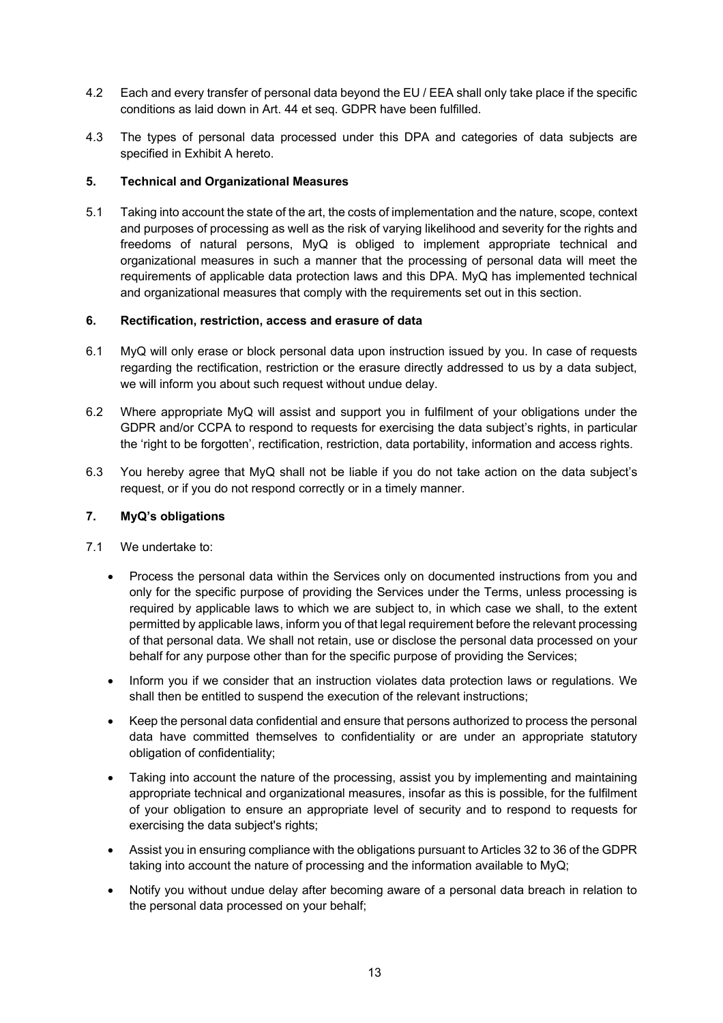- 4.2 Each and every transfer of personal data beyond the EU / EEA shall only take place if the specific conditions as laid down in Art. 44 et seq. GDPR have been fulfilled.
- 4.3 The types of personal data processed under this DPA and categories of data subjects are specified in Exhibit A hereto.

### **5. Technical and Organizational Measures**

5.1 Taking into account the state of the art, the costs of implementation and the nature, scope, context and purposes of processing as well as the risk of varying likelihood and severity for the rights and freedoms of natural persons, MyQ is obliged to implement appropriate technical and organizational measures in such a manner that the processing of personal data will meet the requirements of applicable data protection laws and this DPA. MyQ has implemented technical and organizational measures that comply with the requirements set out in this section.

#### **6. Rectification, restriction, access and erasure of data**

- 6.1 MyQ will only erase or block personal data upon instruction issued by you. In case of requests regarding the rectification, restriction or the erasure directly addressed to us by a data subject, we will inform you about such request without undue delay.
- 6.2 Where appropriate MyQ will assist and support you in fulfilment of your obligations under the GDPR and/or CCPA to respond to requests for exercising the data subject's rights, in particular the 'right to be forgotten', rectification, restriction, data portability, information and access rights.
- 6.3 You hereby agree that MyQ shall not be liable if you do not take action on the data subject's request, or if you do not respond correctly or in a timely manner.

### **7. MyQ's obligations**

- 7.1 We undertake to:
	- Process the personal data within the Services only on documented instructions from you and only for the specific purpose of providing the Services under the Terms, unless processing is required by applicable laws to which we are subject to, in which case we shall, to the extent permitted by applicable laws, inform you of that legal requirement before the relevant processing of that personal data. We shall not retain, use or disclose the personal data processed on your behalf for any purpose other than for the specific purpose of providing the Services;
	- Inform you if we consider that an instruction violates data protection laws or regulations. We shall then be entitled to suspend the execution of the relevant instructions;
	- Keep the personal data confidential and ensure that persons authorized to process the personal data have committed themselves to confidentiality or are under an appropriate statutory obligation of confidentiality;
	- Taking into account the nature of the processing, assist you by implementing and maintaining appropriate technical and organizational measures, insofar as this is possible, for the fulfilment of your obligation to ensure an appropriate level of security and to respond to requests for exercising the data subject's rights;
	- Assist you in ensuring compliance with the obligations pursuant to Articles 32 to 36 of the GDPR taking into account the nature of processing and the information available to MyQ;
	- Notify you without undue delay after becoming aware of a personal data breach in relation to the personal data processed on your behalf;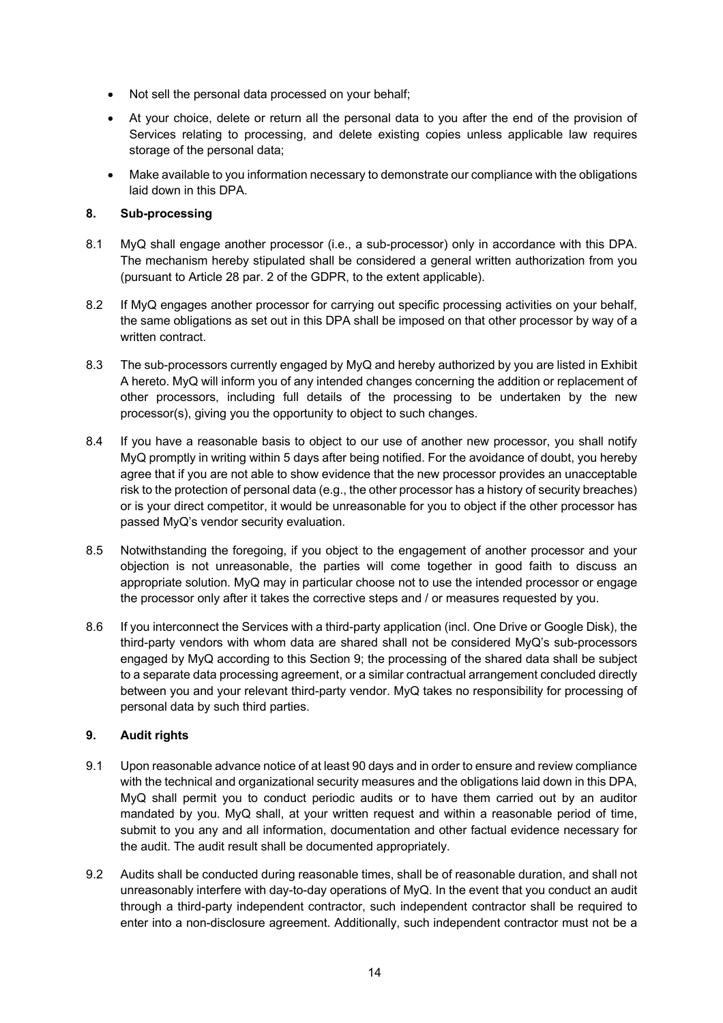- Not sell the personal data processed on your behalf;
- At your choice, delete or return all the personal data to you after the end of the provision of Services relating to processing, and delete existing copies unless applicable law requires storage of the personal data;
- Make available to you information necessary to demonstrate our compliance with the obligations laid down in this DPA.

## **8. Sub-processing**

- 8.1 MyQ shall engage another processor (i.e., a sub-processor) only in accordance with this DPA. The mechanism hereby stipulated shall be considered a general written authorization from you (pursuant to Article 28 par. 2 of the GDPR, to the extent applicable).
- 8.2 If MyQ engages another processor for carrying out specific processing activities on your behalf, the same obligations as set out in this DPA shall be imposed on that other processor by way of a written contract.
- 8.3 The sub-processors currently engaged by MyQ and hereby authorized by you are listed in Exhibit A hereto. MyQ will inform you of any intended changes concerning the addition or replacement of other processors, including full details of the processing to be undertaken by the new processor(s), giving you the opportunity to object to such changes.
- 8.4 If you have a reasonable basis to object to our use of another new processor, you shall notify MyQ promptly in writing within 5 days after being notified. For the avoidance of doubt, you hereby agree that if you are not able to show evidence that the new processor provides an unacceptable risk to the protection of personal data (e.g., the other processor has a history of security breaches) or is your direct competitor, it would be unreasonable for you to object if the other processor has passed MyQ's vendor security evaluation.
- 8.5 Notwithstanding the foregoing, if you object to the engagement of another processor and your objection is not unreasonable, the parties will come together in good faith to discuss an appropriate solution. MyQ may in particular choose not to use the intended processor or engage the processor only after it takes the corrective steps and / or measures requested by you.
- 8.6 If you interconnect the Services with a third-party application (incl. One Drive or Google Disk), the third-party vendors with whom data are shared shall not be considered MyQ's sub-processors engaged by MyQ according to this Section 9; the processing of the shared data shall be subject to a separate data processing agreement, or a similar contractual arrangement concluded directly between you and your relevant third-party vendor. MyQ takes no responsibility for processing of personal data by such third parties.

## **9. Audit rights**

- 9.1 Upon reasonable advance notice of at least 90 days and in order to ensure and review compliance with the technical and organizational security measures and the obligations laid down in this DPA, MyQ shall permit you to conduct periodic audits or to have them carried out by an auditor mandated by you. MyQ shall, at your written request and within a reasonable period of time, submit to you any and all information, documentation and other factual evidence necessary for the audit. The audit result shall be documented appropriately.
- 9.2 Audits shall be conducted during reasonable times, shall be of reasonable duration, and shall not unreasonably interfere with day-to-day operations of MyQ. In the event that you conduct an audit through a third-party independent contractor, such independent contractor shall be required to enter into a non-disclosure agreement. Additionally, such independent contractor must not be a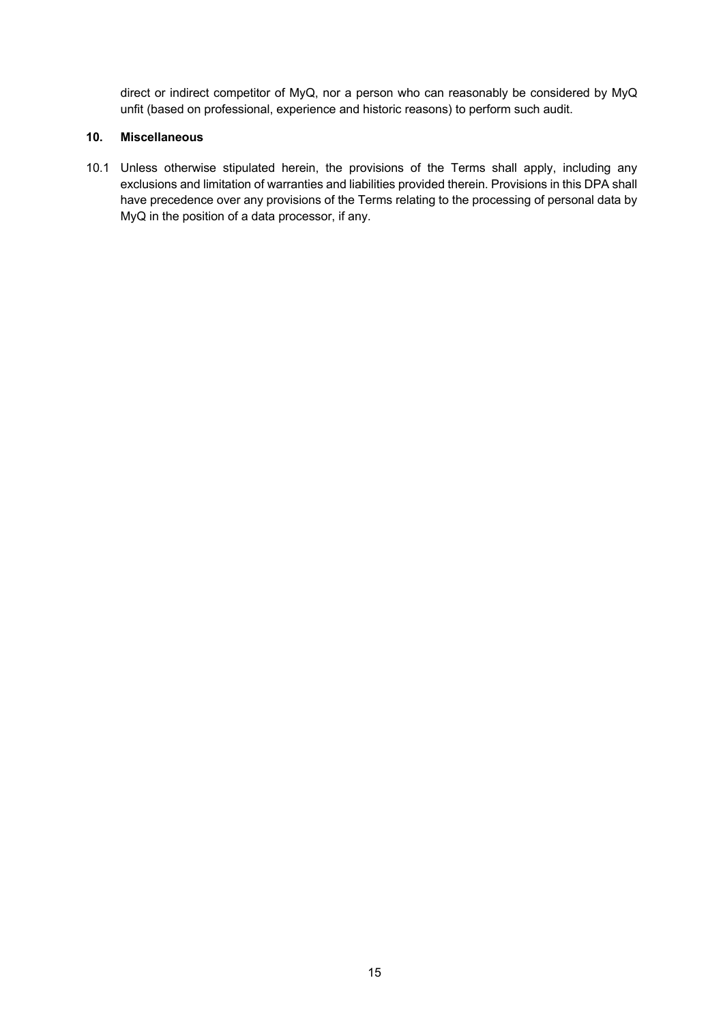direct or indirect competitor of MyQ, nor a person who can reasonably be considered by MyQ unfit (based on professional, experience and historic reasons) to perform such audit.

#### **10. Miscellaneous**

10.1 Unless otherwise stipulated herein, the provisions of the Terms shall apply, including any exclusions and limitation of warranties and liabilities provided therein. Provisions in this DPA shall have precedence over any provisions of the Terms relating to the processing of personal data by MyQ in the position of a data processor, if any.